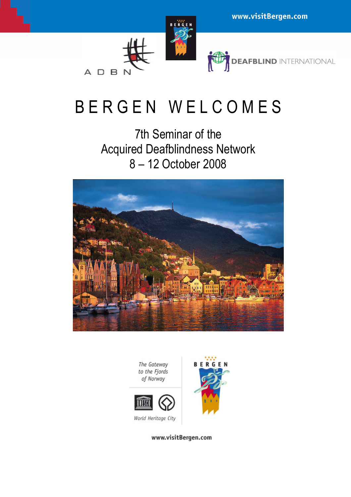# B E R G E N W E L C O M E S

7th Seminar of the Acquired Deafblindness Network 8 – 12 October 2008





www.visitBergen.com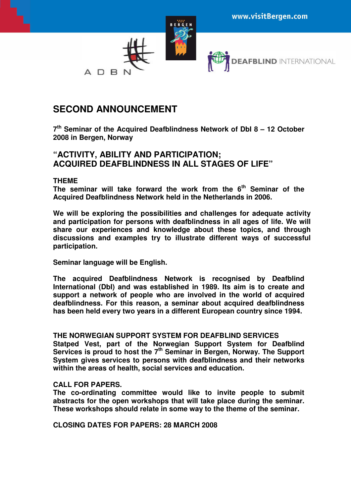

## **SECOND ANNOUNCEMENT**

**7 th Seminar of the Acquired Deafblindness Network of DbI 8 – 12 October 2008 in Bergen, Norway** 

### **"ACTIVITY, ABILITY AND PARTICIPATION; ACQUIRED DEAFBLINDNESS IN ALL STAGES OF LIFE"**

#### **THEME**

**The seminar will take forward the work from the 6th Seminar of the Acquired Deafblindness Network held in the Netherlands in 2006.** 

**We will be exploring the possibilities and challenges for adequate activity and participation for persons with deafblindness in all ages of life. We will share our experiences and knowledge about these topics, and through discussions and examples try to illustrate different ways of successful participation.** 

**Seminar language will be English.** 

**The acquired Deafblindness Network is recognised by Deafblind International (DbI) and was established in 1989. Its aim is to create and support a network of people who are involved in the world of acquired deafblindness. For this reason, a seminar about acquired deafblindness has been held every two years in a different European country since 1994.** 

#### **THE NORWEGIAN SUPPORT SYSTEM FOR DEAFBLIND SERVICES**

**Statped Vest, part of the Norwegian Support System for Deafblind Services is proud to host the 7th Seminar in Bergen, Norway. The Support System gives services to persons with deafblindness and their networks within the areas of health, social services and education.** 

#### **CALL FOR PAPERS.**

**The co-ordinating committee would like to invite people to submit abstracts for the open workshops that will take place during the seminar. These workshops should relate in some way to the theme of the seminar.** 

**CLOSING DATES FOR PAPERS: 28 MARCH 2008**